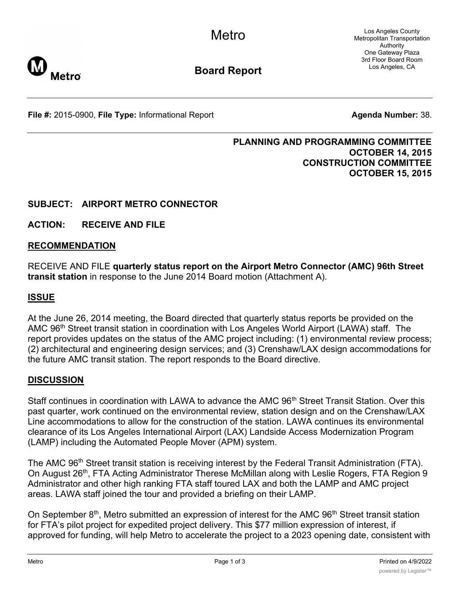Los Angeles County Metropolitan Transportation Authority One Gateway Plaza 3rd Floor Board Room Los Angeles, CA



**Board Report**

**File #:** 2015-0900, File Type: Informational Report **Agents Agenda Number:** 38.

#### **PLANNING AND PROGRAMMING COMMITTEE OCTOBER 14, 2015 CONSTRUCTION COMMITTEE OCTOBER 15, 2015**

# **SUBJECT: AIRPORT METRO CONNECTOR**

**ACTION: RECEIVE AND FILE**

#### **RECOMMENDATION**

RECEIVE AND FILE **quarterly status report on the Airport Metro Connector (AMC) 96th Street transit station** in response to the June 2014 Board motion (Attachment A).

### **ISSUE**

At the June 26, 2014 meeting, the Board directed that quarterly status reports be provided on the AMC 96<sup>th</sup> Street transit station in coordination with Los Angeles World Airport (LAWA) staff. The report provides updates on the status of the AMC project including: (1) environmental review process; (2) architectural and engineering design services; and (3) Crenshaw/LAX design accommodations for the future AMC transit station. The report responds to the Board directive.

#### **DISCUSSION**

Staff continues in coordination with LAWA to advance the AMC 96<sup>th</sup> Street Transit Station. Over this past quarter, work continued on the environmental review, station design and on the Crenshaw/LAX Line accommodations to allow for the construction of the station. LAWA continues its environmental clearance of its Los Angeles International Airport (LAX) Landside Access Modernization Program (LAMP) including the Automated People Mover (APM) system.

The AMC 96<sup>th</sup> Street transit station is receiving interest by the Federal Transit Administration (FTA). On August 26<sup>th</sup>, FTA Acting Administrator Therese McMillan along with Leslie Rogers, FTA Region 9 Administrator and other high ranking FTA staff toured LAX and both the LAMP and AMC project areas. LAWA staff joined the tour and provided a briefing on their LAMP.

On September  $8<sup>th</sup>$ , Metro submitted an expression of interest for the AMC  $96<sup>th</sup>$  Street transit station for FTA's pilot project for expedited project delivery. This \$77 million expression of interest, if approved for funding, will help Metro to accelerate the project to a 2023 opening date, consistent with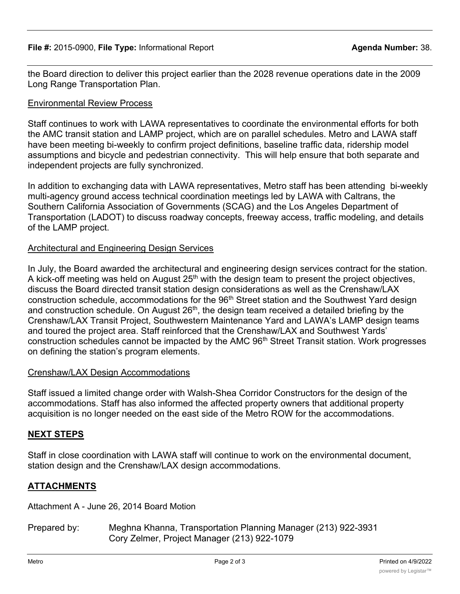the Board direction to deliver this project earlier than the 2028 revenue operations date in the 2009 Long Range Transportation Plan.

# Environmental Review Process

Staff continues to work with LAWA representatives to coordinate the environmental efforts for both the AMC transit station and LAMP project, which are on parallel schedules. Metro and LAWA staff have been meeting bi-weekly to confirm project definitions, baseline traffic data, ridership model assumptions and bicycle and pedestrian connectivity. This will help ensure that both separate and independent projects are fully synchronized.

In addition to exchanging data with LAWA representatives, Metro staff has been attending bi-weekly multi-agency ground access technical coordination meetings led by LAWA with Caltrans, the Southern California Association of Governments (SCAG) and the Los Angeles Department of Transportation (LADOT) to discuss roadway concepts, freeway access, traffic modeling, and details of the LAMP project.

# Architectural and Engineering Design Services

In July, the Board awarded the architectural and engineering design services contract for the station. A kick-off meeting was held on August  $25<sup>th</sup>$  with the design team to present the project objectives, discuss the Board directed transit station design considerations as well as the Crenshaw/LAX construction schedule, accommodations for the 96<sup>th</sup> Street station and the Southwest Yard design and construction schedule. On August 26<sup>th</sup>, the design team received a detailed briefing by the Crenshaw/LAX Transit Project, Southwestern Maintenance Yard and LAWA's LAMP design teams and toured the project area. Staff reinforced that the Crenshaw/LAX and Southwest Yards' construction schedules cannot be impacted by the AMC 96<sup>th</sup> Street Transit station. Work progresses on defining the station's program elements.

## Crenshaw/LAX Design Accommodations

Staff issued a limited change order with Walsh-Shea Corridor Constructors for the design of the accommodations. Staff has also informed the affected property owners that additional property acquisition is no longer needed on the east side of the Metro ROW for the accommodations.

# **NEXT STEPS**

Staff in close coordination with LAWA staff will continue to work on the environmental document, station design and the Crenshaw/LAX design accommodations.

# **ATTACHMENTS**

Attachment A - June 26, 2014 Board Motion

Prepared by: Meghna Khanna, Transportation Planning Manager (213) 922-3931 Cory Zelmer, Project Manager (213) 922-1079